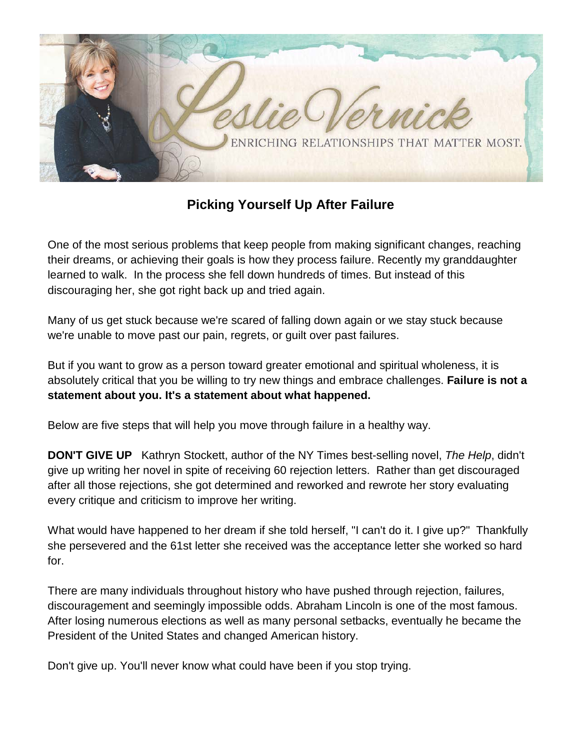

**Picking Yourself Up After Failure**

One of the most serious problems that keep people from making significant changes, reaching their dreams, or achieving their goals is how they process failure. Recently my granddaughter learned to walk. In the process she fell down hundreds of times. But instead of this discouraging her, she got right back up and tried again.

Many of us get stuck because we're scared of falling down again or we stay stuck because we're unable to move past our pain, regrets, or guilt over past failures.

But if you want to grow as a person toward greater emotional and spiritual wholeness, it is absolutely critical that you be willing to try new things and embrace challenges. **Failure is not a statement about you. It's a statement about what happened.** 

Below are five steps that will help you move through failure in a healthy way.

**DON'T GIVE UP** Kathryn Stockett, author of the NY Times best-selling novel, *The Help*, didn't give up writing her novel in spite of receiving 60 rejection letters. Rather than get discouraged after all those rejections, she got determined and reworked and rewrote her story evaluating every critique and criticism to improve her writing.

What would have happened to her dream if she told herself, "I can't do it. I give up?" Thankfully she persevered and the 61st letter she received was the acceptance letter she worked so hard for.

There are many individuals throughout history who have pushed through rejection, failures, discouragement and seemingly impossible odds. Abraham Lincoln is one of the most famous. After losing numerous elections as well as many personal setbacks, eventually he became the President of the United States and changed American history.

Don't give up. You'll never know what could have been if you stop trying.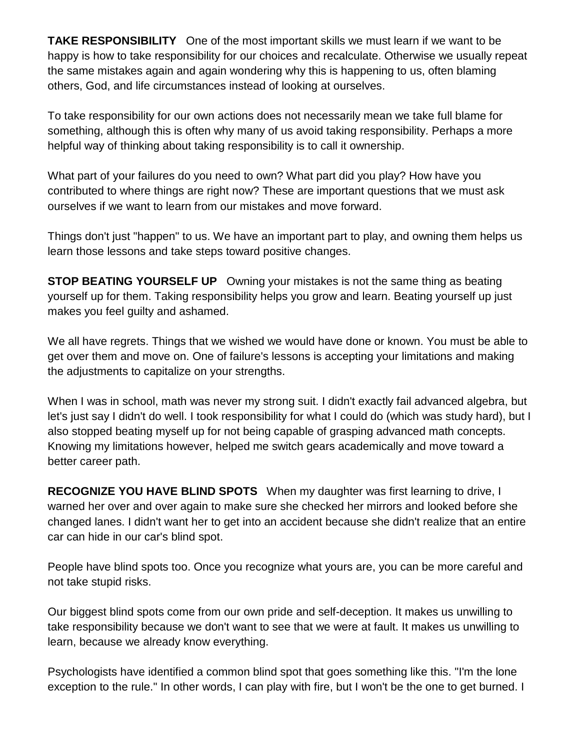**TAKE RESPONSIBILITY** One of the most important skills we must learn if we want to be happy is how to take responsibility for our choices and recalculate. Otherwise we usually repeat the same mistakes again and again wondering why this is happening to us, often blaming others, God, and life circumstances instead of looking at ourselves.

To take responsibility for our own actions does not necessarily mean we take full blame for something, although this is often why many of us avoid taking responsibility. Perhaps a more helpful way of thinking about taking responsibility is to call it ownership.

What part of your failures do you need to own? What part did you play? How have you contributed to where things are right now? These are important questions that we must ask ourselves if we want to learn from our mistakes and move forward.

Things don't just "happen" to us. We have an important part to play, and owning them helps us learn those lessons and take steps toward positive changes.

**STOP BEATING YOURSELF UP** Owning your mistakes is not the same thing as beating yourself up for them. Taking responsibility helps you grow and learn. Beating yourself up just makes you feel guilty and ashamed.

We all have regrets. Things that we wished we would have done or known. You must be able to get over them and move on. One of failure's lessons is accepting your limitations and making the adjustments to capitalize on your strengths.

When I was in school, math was never my strong suit. I didn't exactly fail advanced algebra, but let's just say I didn't do well. I took responsibility for what I could do (which was study hard), but I also stopped beating myself up for not being capable of grasping advanced math concepts. Knowing my limitations however, helped me switch gears academically and move toward a better career path.

**RECOGNIZE YOU HAVE BLIND SPOTS** When my daughter was first learning to drive, I warned her over and over again to make sure she checked her mirrors and looked before she changed lanes. I didn't want her to get into an accident because she didn't realize that an entire car can hide in our car's blind spot.

People have blind spots too. Once you recognize what yours are, you can be more careful and not take stupid risks.

Our biggest blind spots come from our own pride and self-deception. It makes us unwilling to take responsibility because we don't want to see that we were at fault. It makes us unwilling to learn, because we already know everything.

Psychologists have identified a common blind spot that goes something like this. "I'm the lone exception to the rule." In other words, I can play with fire, but I won't be the one to get burned. I